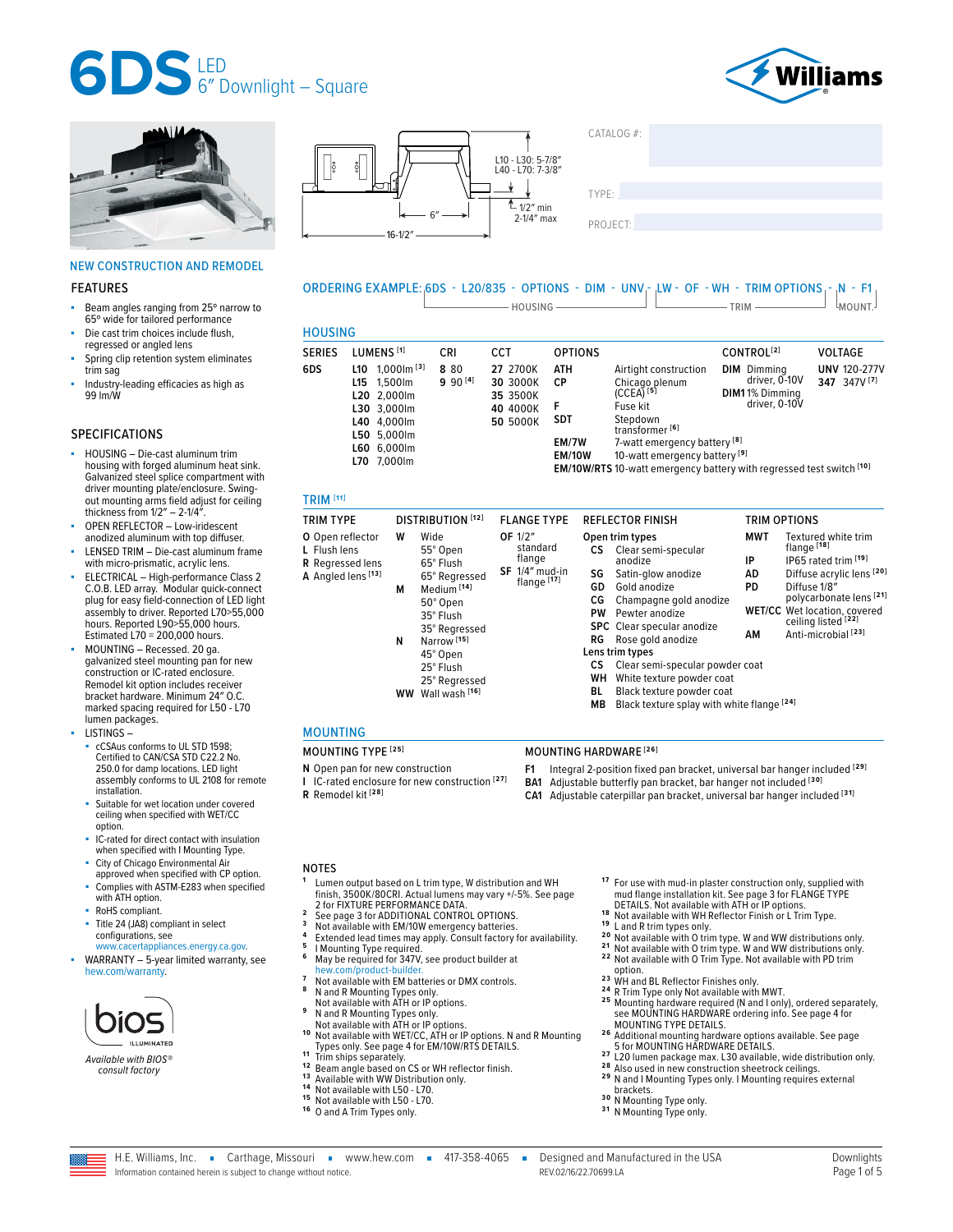





## NEW CONSTRUCTION AND REMODEL

#### FEATURES

- Beam angles ranging from 25° narrow to 65º wide for tailored performance
- Die cast trim choices include flush, regressed or angled lens
- Spring clip retention system eliminates trim sag
- Industry-leading efficacies as high as 99 lm/W

### SPECIFICATIONS

- HOUSING Die-cast aluminum trim housing with forged aluminum heat sink. Galvanized steel splice compartment with driver mounting plate/enclosure. Swingout mounting arms field adjust for ceiling thickness from  $1/2'' - 2-1/4''$ .
- OPEN REFLECTOR Low-iridescent anodized aluminum with top diffuser.
- LENSED TRIM Die-cast aluminum frame with micro-prismatic, acrylic lens.
- ELECTRICAL High-performance Class 2 C.O.B. LED array. Modular quick-connect plug for easy field-connection of LED light assembly to driver. Reported L70>55,000 hours. Reported L90>55,000 hours. Estimated L70 = 200,000 hours.
- MOUNTING Recessed. 20 ga. galvanized steel mounting pan for new construction or IC-rated enclosure. Remodel kit option includes receiver bracket hardware. Minimum 24″ O.C. marked spacing required for L50 - L70 lumen packages.
- LISTINGS
	- cCSAus conforms to UL STD 1598; Certified to CAN/CSA STD C22.2 No. 250.0 for damp locations. LED light assembly conforms to UL 2108 for remote installation.
	- Suitable for wet location under covered ceiling when specified with WET/CC option.
	- IC-rated for direct contact with insulation when specified with I Mounting Type.
	- City of Chicago Environmental Air approved when specified with CP option.
	- Complies with ASTM-E283 when specified with ATH option.
	- RoHS compliant.
	- Title 24 (JA8) compliant in select configurations, see
- [www.cacertappliances.energy.ca.gov.](https://cacertappliances.energy.ca.gov/Pages/ApplianceSearch.aspx) WARRANTY - 5-year limited warranty, see [hew.com/warranty.](https://www.hew.com/resources/warranty-and-terms)



*Available with BIOS® consult factory*



TYPE: ����������������������������������������������������

 $CATAI OG#$ 

# ORDERING EXAMPLE: 6DS - L20/835 - OPTIONS - DIM - UNV - LW - OF - WH - TRIM OPTIONS - N - F1  $\Box$  HOUSING  $\Box$  TRIM  $\Box$  TRIM  $\Box$  MOUNT.

# HOUSING

| ,,,,,,,,,,,   |                                                                                                                                       |                      |                                                          |                                                               |                                                                                                                                                                                                                                                                                       |                                                                        |                                     |
|---------------|---------------------------------------------------------------------------------------------------------------------------------------|----------------------|----------------------------------------------------------|---------------------------------------------------------------|---------------------------------------------------------------------------------------------------------------------------------------------------------------------------------------------------------------------------------------------------------------------------------------|------------------------------------------------------------------------|-------------------------------------|
| <b>SERIES</b> | LUMENS <sup>[1]</sup>                                                                                                                 | CRI                  | CCT                                                      | <b>OPTIONS</b>                                                |                                                                                                                                                                                                                                                                                       | CONTROL <sup>[2]</sup>                                                 | <b>VOLTAGE</b>                      |
| 6DS           | $1.000$ m $^{[3]}$<br>L10<br>1.500lm<br>L15<br>L20 2.000lm<br>L30 3,000lm<br>L40 4.000lm<br>L50 5,000lm<br>L60 6,000lm<br>L70 7,000lm | 8 8 0<br>$990^{[4]}$ | 27 2700K<br>30 3000K<br>35 3500K<br>40 4000K<br>50 5000K | <b>ATH</b><br>СP<br>F<br><b>SDT</b><br>EM/7W<br><b>EM/10W</b> | Airtight construction<br>Chicago plenum<br>$(CCEA)^{[5]}$<br>Fuse kit<br>Stepdown<br>transformer <sup>[6]</sup><br>7-watt emergency battery <sup>[8]</sup><br>10-watt emergency battery <sup>[9]</sup><br><b>EM/10W/RTS</b> 10-watt emergency battery with regressed test switch [10] | <b>DIM</b> Dimmina<br>driver, 0-10V<br>DIM11% Dimming<br>driver, 0-10V | <b>UNV 120-277V</b><br>347 347V [7] |

#### TRIM **[11]**

| <b>TRIM TYPE</b>                                                                  |             | DISTRIBUTION <sup>[12]</sup>                                                                                                                 | <b>FLANGE TYPE</b>                                               |                            | <b>REFLECTOR FINISH</b>                                                                                                                                                                                 |                                     | <b>TRIM OPTIONS</b>                                                                                                                                                                                                                           |
|-----------------------------------------------------------------------------------|-------------|----------------------------------------------------------------------------------------------------------------------------------------------|------------------------------------------------------------------|----------------------------|---------------------------------------------------------------------------------------------------------------------------------------------------------------------------------------------------------|-------------------------------------|-----------------------------------------------------------------------------------------------------------------------------------------------------------------------------------------------------------------------------------------------|
| O Open reflector<br>L Flush lens<br><b>R</b> Regressed lens<br>A Angled lens [13] | w<br>м<br>N | Wide<br>55° Open<br>65° Flush<br>65° Regressed<br>Medium <sup>[14]</sup><br>50° Open<br>35° Flush<br>35° Regressed<br>Narrow <sup>[15]</sup> | OF 1/2"<br>standard<br>flange<br>$SF$ 1/4" mud-in<br>flange [17] | СS<br>SG<br>GD<br>CG<br>PW | Open trim types<br>Clear semi-specular<br>anodize<br>Satin-glow anodize<br>Gold anodize<br>Champagne gold anodize<br>Pewter anodize<br><b>SPC</b> Clear specular anodize<br><b>RG</b> Rose gold anodize | <b>MWT</b><br>IP<br>AD<br>PD.<br>AM | Textured white trim<br>flange <sup>[18]</sup><br>IP65 rated trim [19]<br>Diffuse acrylic lens [20]<br>Diffuse 1/8"<br>polycarbonate lens [21]<br><b>WET/CC</b> Wet location, covered<br>ceiling listed [22]<br>Anti-microbial <sup>[23]</sup> |
|                                                                                   |             | 45° Open<br>25° Flush<br>25° Regressed<br>WW Wall wash [16]                                                                                  |                                                                  | CS.<br>WН<br>BL<br>MВ      | Lens trim types<br>Clear semi-specular powder coat<br>White texture powder coat<br>Black texture powder coat<br>Black texture splay with white flange [24]                                              |                                     |                                                                                                                                                                                                                                               |

#### MOUNTING

# MOUNTING TYPE **[25]** MOUNTING HARDWARE **[26]**

- **N** Open pan for new construction
- **I** IC-rated enclosure for new construction **[27] R** Remodel kit **[28]**
- **F1** Integral 2-position fixed pan bracket, universal bar hanger included **[29]**
- **BA1** Adjustable butterfly pan bracket, bar hanger not included **[30]**
- **CA1** Adjustable caterpillar pan bracket, universal bar hanger included **[31]**

#### NOTES

- **<sup>1</sup>** Lumen output based on L trim type, W distribution and WH finish, 3500K/80CRI. Actual lumens may vary +/-5%. [See page](#page-1-0)
- 
- 
- 
- 2 [See page 3 for ADDITIONAL CONTROL OPTIONS.](#page-2-0)<br>
3 Not available with EM/10W emergency batteries.<br>
4 Extended lead times may apply. Consult factory for availability.<br>
5 IMounting Type required.<br>
6 May be required.<br>
1 Extended
- 
- Not available with EM batteries or DMX controls.<br>**N** and R Mounting Types only.<br>Not available with ATH or IP options.
- 
- 
- Not available with ATH or IP options. **1 0** Not available with WET/CC, ATH or IP options. N and R Mounting
- 
- 
- 
- 
- 
- 

<sup>18</sup> Not available with WH Reflector Finish or L Trim Type.<br><sup>19</sup> L and R trim types only.<br><sup>20</sup> Not available with O trim type. W and WW distributions only.<br><sup>21</sup> Not available with O trim type. W and WW distributions only.<br>

- 
- a option.<br><sup>24</sup> WH and BL Reflector Finishes only.<br><sup>24</sup> R Trim Type only Not available with MWT.<br><sup>25</sup> Mounting hardware required (N and I only), ordered separately,<br>see MOUNTING HARDWARE ordering info. See page 4 for

**1 7** For use with mud-in plaster construction only, supplied with mud flange installation kit. See page 3 for FLANGE TYPE<br>DETAILS. Not available with ATH or IP options.<br>Not available with WH Reflector Finish or L Trim Type.

- [MOUNTING TYPE DETAILS.](#page-3-1) **2 6** Additional mounting hardware options available. [See page](#page-4-0)
- [5 for MOUNTING HARDWARE DETAILS.](#page-4-0)<br><sup>27</sup> L20 lumen package max. L30 available, wide distribution only.<br><sup>28</sup> Also used in new construction sheetrock ceilings.<br><sup>29</sup> N and I Mounting Types only. I Mounting requires external
- 
- **29** N and I Mounting Types only. **I** Mounting requires external brackets.<br>**30** N Mounting Type only.<br>**31** N Mounting Type only.
- 
- 
- 

Information contained herein is subject to change without notice.

- 
- 
- 
- 
- 
- 
- 
- Not available with ATH or IP options. **<sup>9</sup>** N and R Mounting Types only.
- 
- 1 Trim ships sepage 4 for EM/10W/RTS DETAILS.<br>12 Trim ships separately.<br>12 Beam angle based on CS or WH reflector finish.<br>13 Available with WW Distribution only.<br>14 Not available with L50 L70.<br>15 Not available with L50 -
- 
-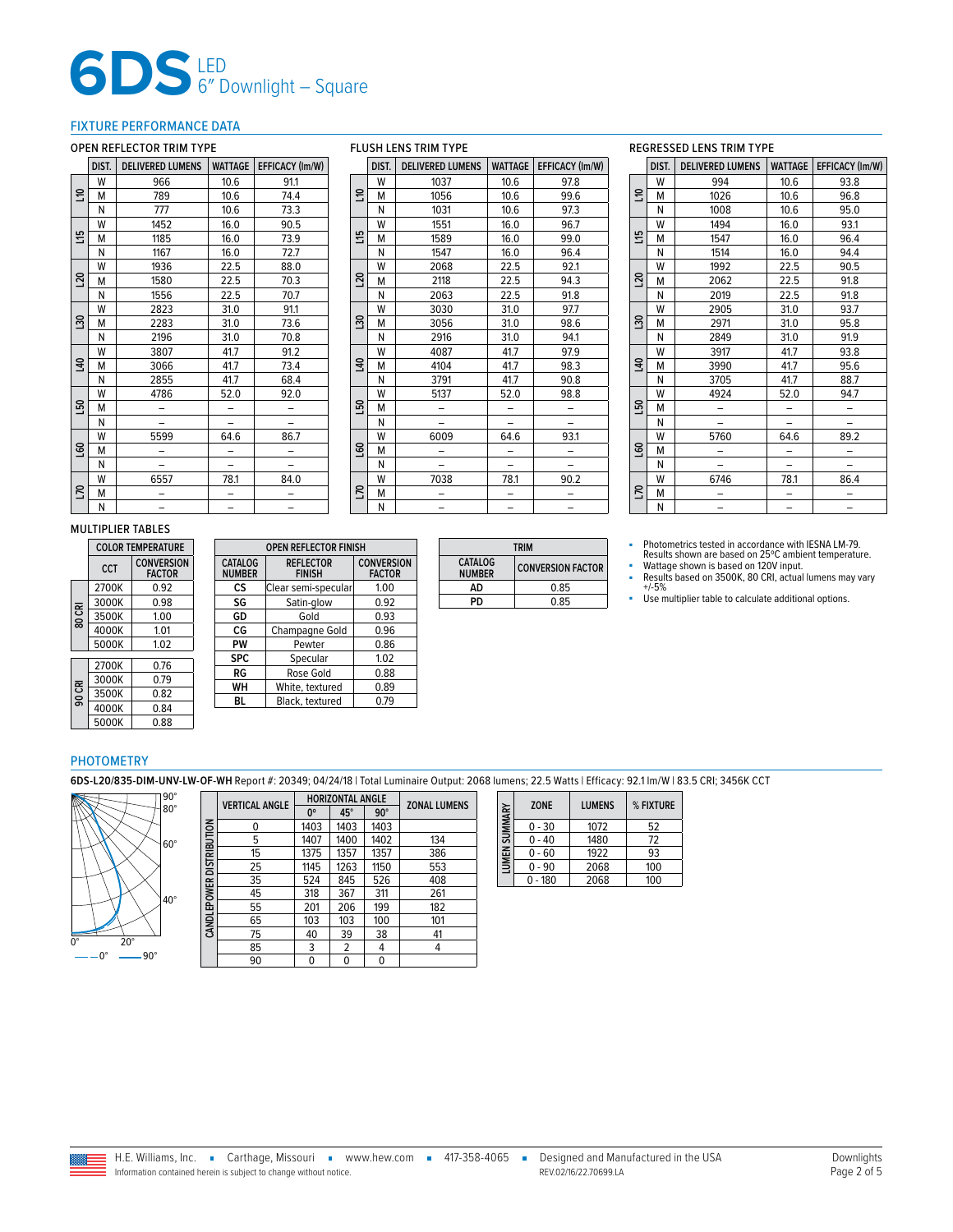# **6DS**LED 6″ Downlight – Square

## <span id="page-1-0"></span>FIXTURE PERFORMANCE DATA

## OPEN REFLECTOR TRIM TYPE

|                | DIST. | <b>DELIVERED LUMENS</b> | WATTAGE | EFFICACY (Im/W) |
|----------------|-------|-------------------------|---------|-----------------|
|                | W     | 966                     | 10.6    | 91.1            |
| 음              | М     | 789                     | 10.6    | 74.4            |
|                | N     | 777                     | 10.6    | 73.3            |
|                | W     | 1452                    | 16.0    | 90.5            |
| 57             | M     | 1185                    | 16.0    | 73.9            |
|                | N     | 1167                    | 16.0    | 72.7            |
|                | W     | 1936                    | 22.5    | 88.0            |
| $\overline{5}$ | M     | 1580                    | 22.5    | 70.3            |
|                | Ν     | 1556                    | 22.5    | 70.7            |
|                | W     | 2823                    | 31.0    | 91.1            |
| នា             | M     | 2283                    | 31.0    | 73.6            |
|                | N     | 2196                    | 31.0    | 70.8            |
|                | W     | 3807                    | 41.7    | 91.2            |
| 140            | M     | 3066                    | 41.7    | 73.4            |
|                | N     | 2855                    | 41.7    | 68.4            |
|                | W     | 4786                    | 52.0    | 92.0            |
| 50             | M     |                         |         |                 |
|                | N     |                         |         |                 |
|                | W     | 5599                    | 64.6    | 86.7            |
| 60             | M     |                         |         |                 |
|                | N     |                         |         |                 |
|                | W     | 6557                    | 78.1    | 84.0            |
| <b>DL</b>      | M     |                         |         |                 |
|                | N     |                         |         |                 |

| <b>FLUSH LENS TRIM TYPE</b> |       |                         |                |                 |  |
|-----------------------------|-------|-------------------------|----------------|-----------------|--|
|                             | DIST. | <b>DELIVERED LUMENS</b> | <b>WATTAGE</b> | EFFICACY (Im/W) |  |
|                             | W     | 1037                    | 10.6           | 97.8            |  |
| 음                           | M     | 1056                    | 10.6           | 99.6            |  |
|                             | N     | 1031                    | 10.6           | 97.3            |  |
|                             | W     | 1551                    | 16.0           | 96.7            |  |
| 쁰                           | M     | 1589                    | 16.0           | 99.0            |  |
|                             | N     | 1547                    | 16.0           | 96.4            |  |
|                             | W     | 2068                    | 22.5           | 92.1            |  |
| $\overline{5}$              | М     | 2118                    | 22.5           | 94.3            |  |
|                             | N     | 2063                    | 22.5           | 91.8            |  |
| នី                          | W     | 3030                    | 31.0           | 97.7            |  |
|                             | M     | 3056                    | 31.0           | 98.6            |  |
|                             | Ν     | 2916                    | 31.0           | 94.1            |  |
|                             | W     | 4087                    | 41.7           | 97.9            |  |
| $\overline{a}$              | M     | 4104                    | 41.7           | 98.3            |  |
|                             | N     | 3791                    | 41.7           | 90.8            |  |
|                             | W     | 5137                    | 52.0           | 98.8            |  |
| 50                          | M     |                         |                |                 |  |
|                             | N     |                         |                |                 |  |
|                             | W     | 6009                    | 64.6           | 93.1            |  |
| ទី                          | M     |                         |                |                 |  |
|                             | N     |                         |                |                 |  |
|                             | W     | 7038                    | 78.1           | 90.2            |  |
| <b>DZ1</b>                  | M     |                         |                |                 |  |
|                             | N     |                         |                |                 |  |

# REGRESSED LENS TRIM TYPE

|                 | <b>KEUKEJJEV LEINJ I KIIVI I I PE</b> |                         |                |                 |  |  |  |  |
|-----------------|---------------------------------------|-------------------------|----------------|-----------------|--|--|--|--|
|                 | DIST.                                 | <b>DELIVERED LUMENS</b> | <b>WATTAGE</b> | EFFICACY (Im/W) |  |  |  |  |
|                 | W                                     | 994                     | 10.6           | 93.8            |  |  |  |  |
| 릉               | M                                     | 1026                    | 10.6           | 96.8            |  |  |  |  |
|                 | N                                     | 1008                    | 10.6           | 95.0            |  |  |  |  |
|                 | W                                     | 1494                    | 16.0           | 93.1            |  |  |  |  |
| 띞               | М                                     | 1547                    | 16.0           | 96.4            |  |  |  |  |
|                 | N                                     | 1514                    | 16.0           | 94.4            |  |  |  |  |
|                 | W                                     | 1992                    | 22.5           | 90.5            |  |  |  |  |
| $\overline{50}$ | Μ                                     | 2062                    | 22.5           | 91.8            |  |  |  |  |
|                 | Ν                                     | 2019                    | 22.5           | 91.8            |  |  |  |  |
|                 | W                                     | 2905                    | 31.0           | 93.7            |  |  |  |  |
| នា              | М                                     | 2971                    | 31.0           | 95.8            |  |  |  |  |
|                 | Ν                                     | 2849                    | 31.0           | 91.9            |  |  |  |  |
|                 | W                                     | 3917                    | 41.7           | 93.8            |  |  |  |  |
| $\overline{a}$  | M                                     | 3990                    | 41.7           | 95.6            |  |  |  |  |
|                 | N                                     | 3705                    | 41.7           | 88.7            |  |  |  |  |
|                 | W                                     | 4924                    | 52.0           | 94.7            |  |  |  |  |
| <b>L50</b>      | Μ                                     |                         |                |                 |  |  |  |  |
|                 | N                                     |                         |                |                 |  |  |  |  |
|                 | W                                     | 5760                    | 64.6           | 89.2            |  |  |  |  |
| <b>S</b>        | M                                     |                         |                |                 |  |  |  |  |
|                 | N                                     |                         |                |                 |  |  |  |  |
|                 | W                                     | 6746                    | 78.1           | 86.4            |  |  |  |  |
| D.              | M                                     |                         |                |                 |  |  |  |  |
|                 | N                                     |                         |                |                 |  |  |  |  |

#### MULTIPLIER TABLES

|        | <b>COLOR TEMPERATURE</b> |                                    |  |  |  |
|--------|--------------------------|------------------------------------|--|--|--|
|        | <b>CCT</b>               | <b>CONVERSION</b><br><b>FACTOR</b> |  |  |  |
|        | 2700K                    | 0.92                               |  |  |  |
|        | 3000K                    | 0.98                               |  |  |  |
| 80 CRI | 3500K                    | 1.00                               |  |  |  |
|        | 4000K                    | 1.01                               |  |  |  |
|        | 5000K                    | 1.02                               |  |  |  |
|        | 2700K                    | 0.76                               |  |  |  |
|        | 3000K                    | 0.79                               |  |  |  |
| 90 CRI | 3500K                    | 0.82                               |  |  |  |
|        | 4000K                    | 0.84                               |  |  |  |
|        | 5000K                    | 0.88                               |  |  |  |

|                                                                      | <b>OPEN REFLECTOR FINISH</b> |                                    |
|----------------------------------------------------------------------|------------------------------|------------------------------------|
| <b>CATALOG</b><br><b>REFLECTOR</b><br><b>NUMBER</b><br><b>FINISH</b> |                              | <b>CONVERSION</b><br><b>FACTOR</b> |
| cs                                                                   | Clear semi-specular          | 1.00                               |
| SG                                                                   | Satin-glow                   | 0.92                               |
| GD                                                                   | Gold                         | 0.93                               |
| CG                                                                   | Champagne Gold               | 0.96                               |
| PW                                                                   | Pewter                       | 0.86                               |
| <b>SPC</b>                                                           | Specular                     | 1.02                               |
| RG                                                                   | Rose Gold                    | 0.88                               |
| WH                                                                   | White, textured              | 0.89                               |
| BL                                                                   | Black, textured              | 0.79                               |

| <b>TRIM</b>              |                          |  |  |
|--------------------------|--------------------------|--|--|
| CATALOG<br><b>NUMBER</b> | <b>CONVERSION FACTOR</b> |  |  |
| ΔD                       | 0.85                     |  |  |
| PD                       | 0.85                     |  |  |

■ Photometrics tested in accordance with IESNA LM-79. Results shown are based on 25ºC ambient temperature.

■ Wattage shown is based on 120V input.<br>■ Results based on 3500K, 80 CRI, actual lumens may vary<br>+/-5%

■ Use multiplier table to calculate additional options.

## PHOTOMETRY

**6DS-L20/835-DIM-UNV-LW-OF-WH** Report #: 20349; 04/24/18 | Total Luminaire Output: 2068 lumens; 22.5 Watts | Efficacy: 92.1 lm/W | 83.5 CRI; 3456K CCT



|                          | <b>VERTICAL ANGLE</b> |             | <b>HORIZONTAL ANGLE</b> | <b>ZONAL LUMENS</b> |     |
|--------------------------|-----------------------|-------------|-------------------------|---------------------|-----|
|                          |                       | $0^{\circ}$ | 45°                     | $90^\circ$          |     |
|                          | 0                     | 1403        | 1403                    | 1403                |     |
|                          | 5                     | 1407        | 1400                    | 1402                | 134 |
| CANDLEPOWER DISTRIBUTION | 15                    | 1375        | 1357                    | 1357                | 386 |
|                          | 25                    | 1145        | 1263                    | 1150                | 553 |
|                          | 35                    | 524         | 845                     | 526                 | 408 |
|                          | 45                    | 318         | 367                     | 311                 | 261 |
|                          | 55                    | 201         | 206                     | 199                 | 182 |
|                          | 65                    | 103         | 103                     | 100                 | 101 |
|                          | 75                    | 40          | 39                      | 38                  | 41  |
|                          | 85                    | 3           | 2                       | 4                   | 4   |
|                          | 90                    | 0           | 0                       | 0                   |     |

| SUMMARY | <b>ZONE</b> | <b>LUMENS</b> | % FIXTURE |
|---------|-------------|---------------|-----------|
|         | $0 - 30$    | 1072          | 52        |
|         | $0 - 40$    | 1480          | 72        |
| LUMEN   | $0 - 60$    | 1922          | 93        |
|         | $0 - 90$    | 2068          | 100       |
|         | $0 - 180$   | 2068          | 100       |

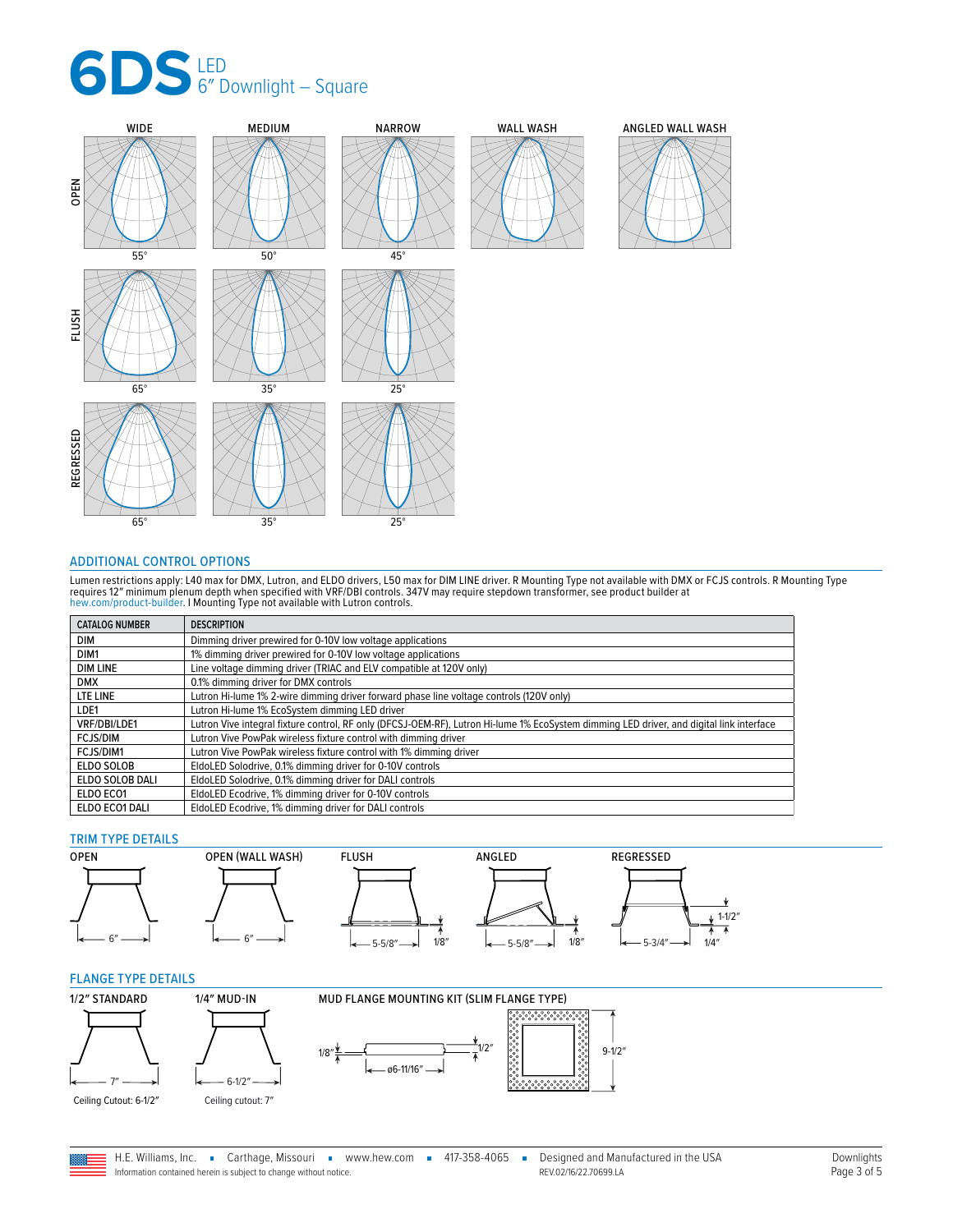



### <span id="page-2-0"></span>ADDITIONAL CONTROL OPTIONS

Lumen restrictions apply: L40 max for DMX, Lutron, and ELDO drivers, L50 max for DIM LINE driver. R Mounting Type not available with DMX or FCJS controls. R Mounting Type<br>requires 12″ minimum plenum depth when specified wi

| <b>CATALOG NUMBER</b> | <b>DESCRIPTION</b>                                                                                                                       |
|-----------------------|------------------------------------------------------------------------------------------------------------------------------------------|
| DIM                   | Dimming driver prewired for 0-10V low voltage applications                                                                               |
| DIM <sub>1</sub>      | 1% dimming driver prewired for 0-10V low voltage applications                                                                            |
| <b>DIM LINE</b>       | Line voltage dimming driver (TRIAC and ELV compatible at 120V only)                                                                      |
| <b>DMX</b>            | 0.1% dimming driver for DMX controls                                                                                                     |
| LTE LINE              | Lutron Hi-lume 1% 2-wire dimming driver forward phase line voltage controls (120V only)                                                  |
| LDE1                  | Lutron Hi-lume 1% EcoSystem dimming LED driver                                                                                           |
| VRF/DBI/LDE1          | Lutron Vive integral fixture control, RF only (DFCSJ-OEM-RF), Lutron Hi-lume 1% EcoSystem dimming LED driver, and digital link interface |
| <b>FCJS/DIM</b>       | Lutron Vive PowPak wireless fixture control with dimming driver                                                                          |
| FCJS/DIM1             | Lutron Vive PowPak wireless fixture control with 1% dimming driver                                                                       |
| ELDO SOLOB            | EldoLED Solodrive, 0.1% dimming driver for 0-10V controls                                                                                |
| ELDO SOLOB DALI       | EldoLED Solodrive, 0.1% dimming driver for DALI controls                                                                                 |
| ELDO ECO1             | EldoLED Ecodrive, 1% dimming driver for 0-10V controls                                                                                   |
| ELDO ECO1 DALI        | EldoLED Ecodrive, 1% dimming driver for DALI controls                                                                                    |

## TRIM TYPE DETAILS



#### <span id="page-2-1"></span>FLANGE TYPE DETAILS



Information contained herein is subject to change without notice.

H.E. Williams, Inc. • Carthage, Missouri • www.hew.com • 417-358-4065 • Designed and Manufactured in the USA REV.02/16/22.70699.LA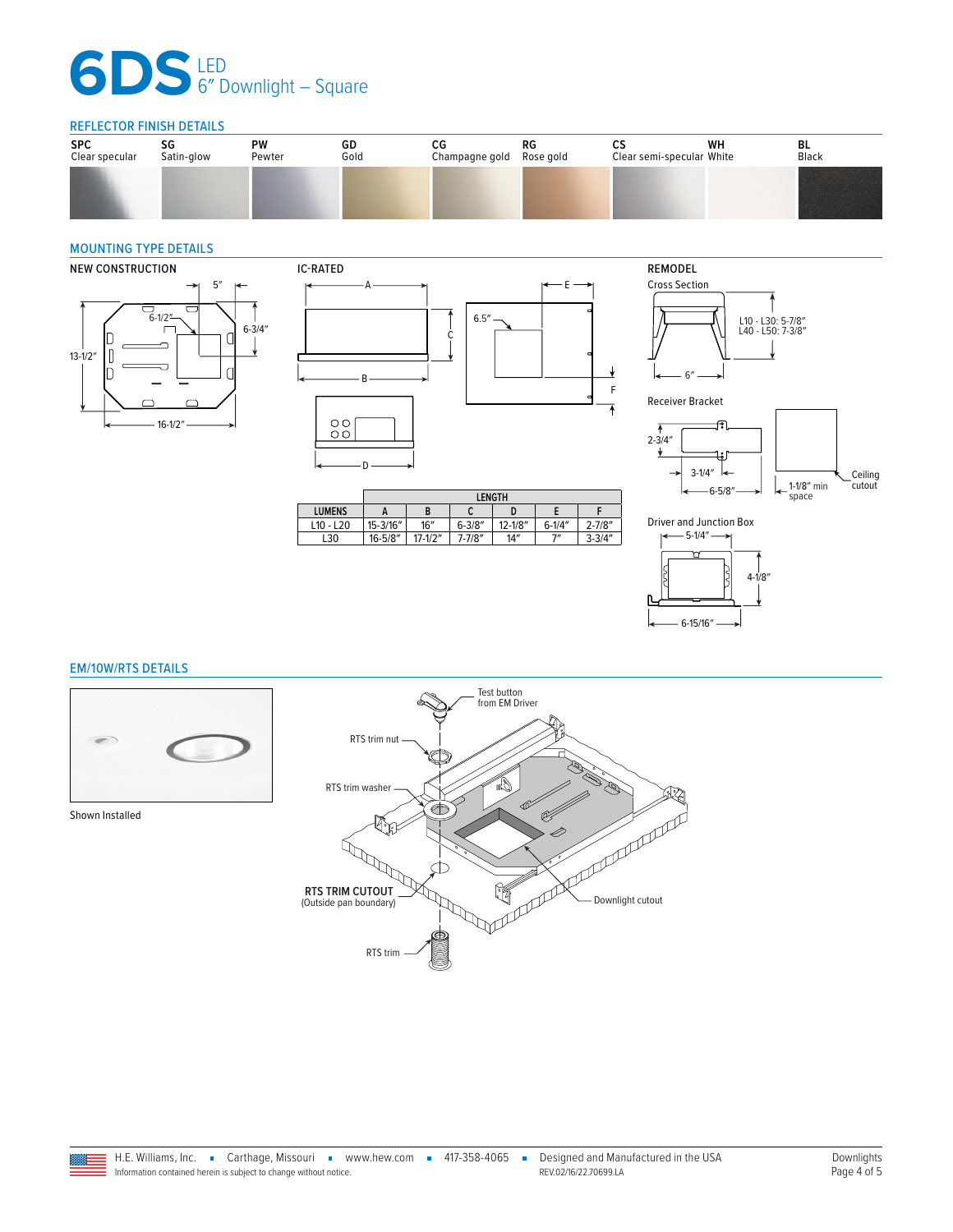# **6DS**LED 6″ Downlight – Square

## REFLECTOR FINISH DETAILS

| <b>SPC</b><br>Clear specular | SG<br>Satin-glow | PW<br>Pewter | GD<br>Gold | СG<br>Champagne gold | RG<br>Rose gold | ບປ<br>Clear semi-specular White | WН | BL<br>Black |
|------------------------------|------------------|--------------|------------|----------------------|-----------------|---------------------------------|----|-------------|
|                              |                  |              |            |                      |                 |                                 |    |             |
|                              |                  |              |            |                      |                 |                                 |    |             |

## <span id="page-3-1"></span>MOUNTING TYPE DETAILS





|               | <b>LENGTH</b> |             |             |             |             |             |
|---------------|---------------|-------------|-------------|-------------|-------------|-------------|
| <b>LUMENS</b> |               | B           | u           |             |             |             |
| $L10 - L20$   | 15-3/16"      | 16''        | $6 - 3/8''$ | $12 - 1/8"$ | $6 - 1/4''$ | $2 - 7/8''$ |
| L30           | $16 - 5/8"$   | $17 - 1/2"$ | 7-7/8"      | 14''        | 7"          | $3 - 3/4"$  |











## <span id="page-3-0"></span>EM/10W/RTS DETAILS



Shown Installed